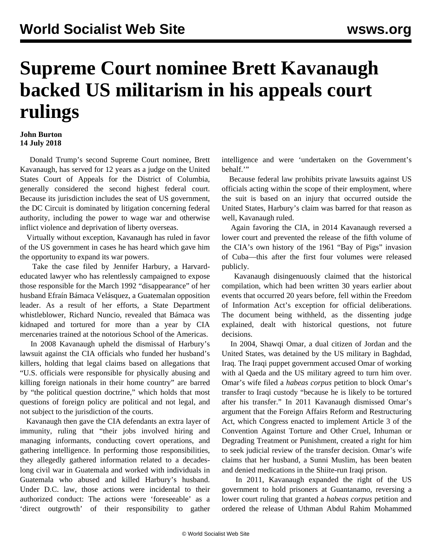## **Supreme Court nominee Brett Kavanaugh backed US militarism in his appeals court rulings**

## **John Burton 14 July 2018**

 Donald Trump's second Supreme Court nominee, Brett Kavanaugh, has served for 12 years as a judge on the United States Court of Appeals for the District of Columbia, generally considered the second highest federal court. Because its jurisdiction includes the seat of US government, the DC Circuit is dominated by litigation concerning federal authority, including the power to wage war and otherwise inflict violence and deprivation of liberty overseas.

 Virtually without exception, Kavanaugh has ruled in favor of the US government in cases he has heard which gave him the opportunity to expand its war powers.

 Take the case filed by Jennifer Harbury, a Harvardeducated lawyer who has relentlessly campaigned to expose those responsible for the March 1992 "disappearance" of her husband Efraín Bámaca Velásquez, a Guatemalan opposition leader. As a result of her efforts, a State Department whistleblower, Richard Nuncio, revealed that Bámaca was kidnaped and tortured for more than a year by CIA mercenaries trained at the notorious School of the Americas.

 In 2008 Kavanaugh upheld the dismissal of Harbury's lawsuit against the CIA officials who funded her husband's killers, holding that legal claims based on allegations that "U.S. officials were responsible for physically abusing and killing foreign nationals in their home country" are barred by "the political question doctrine," which holds that most questions of foreign policy are political and not legal, and not subject to the jurisdiction of the courts.

 Kavanaugh then gave the CIA defendants an extra layer of immunity, ruling that "their jobs involved hiring and managing informants, conducting covert operations, and gathering intelligence. In performing those responsibilities, they allegedly gathered information related to a decadeslong civil war in Guatemala and worked with individuals in Guatemala who abused and killed Harbury's husband. Under D.C. law, those actions were incidental to their authorized conduct: The actions were 'foreseeable' as a 'direct outgrowth' of their responsibility to gather

intelligence and were 'undertaken on the Government's behalf.'"

 Because federal law prohibits private lawsuits against US officials acting within the scope of their employment, where the suit is based on an injury that occurred outside the United States, Harbury's claim was barred for that reason as well, Kavanaugh ruled.

 Again favoring the CIA, in 2014 Kavanaugh reversed a lower court and prevented the release of the fifth volume of the CIA's own history of the 1961 "Bay of Pigs" invasion of Cuba—this after the first four volumes were released publicly.

 Kavanaugh disingenuously claimed that the historical compilation, which had been written 30 years earlier about events that occurred 20 years before, fell within the Freedom of Information Act's exception for official deliberations. The document being withheld, as the dissenting judge explained, dealt with historical questions, not future decisions.

 In 2004, Shawqi Omar, a dual citizen of Jordan and the United States, was detained by the US military in Baghdad, Iraq. The Iraqi puppet government accused Omar of working with al Qaeda and the US military agreed to turn him over. Omar's wife filed a *habeas corpus* petition to block Omar's transfer to Iraqi custody "because he is likely to be tortured after his transfer." In 2011 Kavanaugh dismissed Omar's argument that the Foreign Affairs Reform and Restructuring Act, which Congress enacted to implement Article 3 of the Convention Against Torture and Other Cruel, Inhuman or Degrading Treatment or Punishment, created a right for him to seek judicial review of the transfer decision. Omar's wife claims that her husband, a Sunni Muslim, has been beaten and denied medications in the Shiite-run Iraqi prison.

 In 2011, Kavanaugh expanded the right of the US government to hold prisoners at Guantanamo, reversing a lower court ruling that granted a *habeas corpus* petition and ordered the release of Uthman Abdul Rahim Mohammed